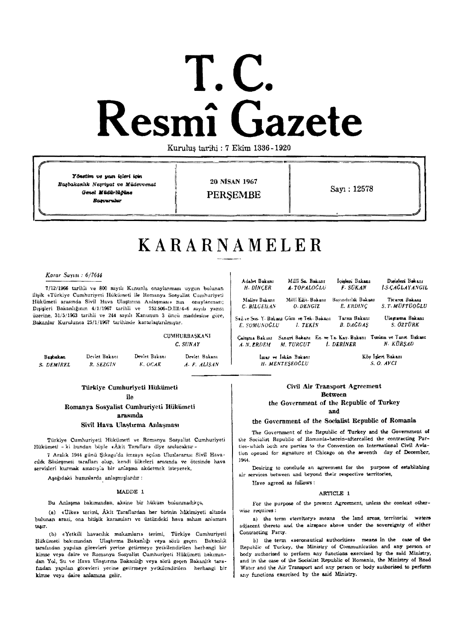# **T.C. Resmi Gazete**

Kuruluş tarihi : 7 Ekim 1336-1920

Yönetim ve yazı işleri için Başbakanlık Neşriyat ve Müdevvenat<br>Genel Müdürlüğüne<br>Başvurulur Genel Müdürlüğüne

20 NISAN 1967

PERSEMBE Sayı: 12578

# **KARARNAMELER**

# *Korar SU'Yw: 6/7614*

7/12/1966 tarihli ve 800 sayılı Kanunla onaylanması uygun bulunan ilişik «Türkiye Cumhuriyeti Hükümeti ile Romanya Sosyalist Cumhuriyeti Hükümeti arasında Sivil Hava Ulaştırma Anlaşması» nun onaylanması; Dışişleri Bakanlığının 4/1/1967 tarihli ve 752.506-D.III/4-6 sayılı yazısı. üzerine, 31/5/1963 tarihli ve 244 sayılı Kanunun 3 üncü maddesine göre, Bakanlar Kurulunca 25/1/1967 tarihinde kararlaştırılmıştır.

# **CUMHURBASKANI** C. SUNAY

| <b>Basbakan</b> | Devlet Bakanı | Deviet Bakanı | Devlet Bakanı |
|-----------------|---------------|---------------|---------------|
| S. DEMIREL      | R. SEZGIN     | K. OCAK       | A. F. ALISAN  |

# TUrkiye Cum huriyeti IIUkUmeti

ile

# Romanya Sosyalist Cumhuriycii lliikiimeti arasmda.

### Sivil Hava Ulastuma Anlasması

Türkiye Cumhuriyeti Hükümeti ve Romanya Sosyalist Cumhuriyeti Hükümeti - ki bundan böyle «Âkit Taraflar» diye anılacaktur-

7 Aralık 1944 günü Şikago'da imzaya açılan Uluslararası Sivil Havaculik Sözleşmesi tarafları olup, kendi ülkeleri arasında ve ötesinde hava servisleri kurmak amacıy:a bir an:aşma akdetmek isteyerek.

Aşağıdaki hususlarda anlaşmışlardır :

#### MADDE 1

Bu Anlasma bakımından, aksine bir hüküm bulunmadıkça,

(a) «Ülke» terimi, Âkit Taraflardan her birinin hâkimiyeti altında bulunan arazi, ona bitişik karasuları ve üstündeki hava sahası anlamını tasır.

(b) «Yetkili havacılık makamları» terimi, Türkiye Cumhuriyeti Hükümeti bakımından Ulaştırma Bakanlığı veya sözü geçen Bakanlık tarafından yapılan görevleri yerine getirmeye yetkilendirilen herhangi bir kimse veya daire ve Romanya Sosyalist Cumhuriyeti Hükümeti bakımından Yol, Su ve Hava Ulaştırma Bakanlığı veya sözü geçen Bakanlık taratmdan yapllan gorevleri yerine gelirmeye yetkilcndirilen herhangi bir kimse veva daire anlamma gelir.

| Adabri Bakani<br>H. DINCER | Milli Sa. Bakanı<br>A. TOPALOČLU          | Ioisteri Bakanı<br><b>F. SUKAN</b> | Dasisteri Bakanı<br><b>I.S.CAĞLAYANGIL</b> |  |
|----------------------------|-------------------------------------------|------------------------------------|--------------------------------------------|--|
| Maliye Bakant              | Millî Eğit. Bakanı                        | Bayındırlık Bakanı                 | Ticaret Bakanı                             |  |
| C. BILGEHAN                | <b>O.DENGIZ</b>                           | E. ERDINC                          | S.T. MÜFTÜOĞLU                             |  |
|                            | Sağıye Susi Yi Bakanı Gümi ve Teki Bakanı | Tarron Bakanı                      | Ukstanna Bakanı                            |  |
| E. SOMUNOĜLU               | <b>L. TEKIN</b>                           | <b>B. DAČDAS</b>                   | S. ÖZTÜRK                                  |  |
| Cahsma Bakanı              | Sanavi Bakanı                             | En. ve Ta. Kay. Bakanı             | Tunizin ve Tanıt. Bakanı                   |  |
| A.N.ERDEM                  | M. TURGUT                                 | <i>I. DERINER</i>                  | N. KÜRSAD                                  |  |
|                            |                                           |                                    |                                            |  |

1mar ve İskân Bakanı (Köy İsleri Bakanı)<br>11. MENTESEOĞLU (S. O. AVCI  $H.$  *MENTESEOCLU* 

# Civil Air Transport Agreement Between the Government of the Republic of Turkey

and

# the Government of the Socialist Republic of Romania

The Government of the Republic of Turkey and the Government of the Socialist Republic of Romania-herein-aftercalled the contracting Parties-which both are parties to the Convention on International Civil Aviation opened for signature at Chicago on the seventh day of December. J944.

Desiring to conclude an agreement for the purpose of establishing air services between and beyond their respective territories,

Have agreed as follows:

#### ARTICLE 1

For the purpose of the present Agreement, unless the context otherwise requires:

a) the term eterritory<sup>p</sup> means the land areas, territorial waters adjacent thereto and the airspace above under the sovereignty of either Contracting Party.

b) the term eaeronautical authorities» means in the case of the Republic of Turkey, the Ministry of Communication and any person or body authorised to perform any functions exercised by the said Ministry, and in the case of the Socialist Republic of Romania, the Ministry of Road Water and the Air Transport and any person or body authorised to perform any functions exercised by the said Ministry.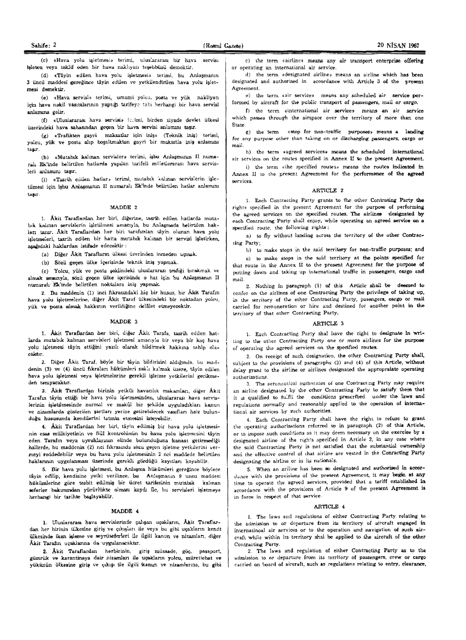(c) «Hava yolu isletmesi» terimi, uluslararası bir hava servisi lşleten veya teklif eden bir hava nakliyatı teşebbüsü demektir.

(d) «Tâyin edilen hava yolu işletmesi» terimi, bu Anlaşmanın 3 üncü maddesi gereğince tâyin edilen ve yetkilendirilen hava yolu işletmesi demektir.

(e) «Hava servisi» terimi, umumi yo]ca, poata ve yiik nakliyau için hava nakil vasıtalarının yaptığı tarifeye tabi herhangi bir hava servisl anlamına gelir.

(f) «Uluslararası hava servisi» terimi, birden ziyade devlet ülkesi üzerindeki hava sahasından geçen bir hava servisi anlamını taşır.

(g) «Trafikten gayri maksatlar için iniş» (Teknik iniş) terimi, yolcu, yük ve posta alıp boşaltmaktan gayri bir maksatla iniş anlamını taşır.

(h) «Mutabik kalman servisler» terimi, işbu Anlaşmanın II numarah Ek'inde belirtilen hatlarda yapılan tarifeli milletlerarası hava servisleri anlamını tasır.

(i) «Tasrih edilen hatlar» terimi, mutabik kalınan servislerin işletilmesi için işbu Anlaşmanın II numaralı Ek'inde belirtilen hatlar anlamını tamr.

#### MADDE 2

1. Åkit Taraflardan her biri, diğerine, tasrih edilen hatlarda mutabik kalinan servislerin isletilinesi amacıyla, bu Anlasmada belirtilen hakları tanır. Akit Taraflardan her biri tarafından tâyin olunan hava volu işletmeleri, tasrih edilen bir hatta mutabık kalınan bir servisi işletirken, aşağıdaki haklardan istifade edecektir :

(a) Diğer Âkit Tarafların ülkesi üzerinden inmeden uçmak.

(b) Sözü geçen ülke içerisinde teknik iniş yapmak.

(c) Yolcu, yük ve posta şeklindeki uluslararası trafiği bırakmak ve almak amacıyla, sözü geçen ülke içerisinde o hat için bu Anlaşmanın II nurnaralı<sup>:</sup> Ek'inde belirtilen noktalara iniş yapmak.

2. Bu maddenin (1) inci fikrasındaki hiç bir husus, bir Âkit Tarafın hava yolu işletmelerine, diğer Akit Taraf ülkesindeki bir noktadan yolcu, yük ve posta almak hakkmın verildiğine delâlet etmeyecektir.

# MADDE 3

1. Åkit Taraflardan her biri, diğer Åkit Tarafa, tasrih edilen hatlarda mutabik kalman servisleri işletmesi amacıyla bir veya bir kaç hava yolu işletmesi tâyin ettiğini yazılı olarak bildirmek hakkına sahip olacaktır.

2. Diğer Aklt Taraf, böyle bir tâyin bildirisini aldığında, bu maddenin (3) ve (4) üncü fıkraları hükümleri sak<sup>t</sup>ı kalmak üzere, tâyin edilen hava yolu işletmesi veya işletmelerine gerekli işletme yetkilerini gecikmeden tanıyacaktır.

3. Åkit Taraflardan birinin yetkili havacılık makamları, diğer Âkit Tarafın tâyin ettiği bir hava yolu işletmesinden, uluslararası hava servislerinin işletilmesinde normal ve makûl bir şekilde uyguladıkları kanun ve nizamlarda gösterilen şartları yerine getirebilecek vasıfları haiz bulunduğu hususunda kendilerini tatmin etmesini istevebilir.

4. Akit Taraflardan her biri, tâyin edilmiş bir hava yolu işletmesinin esas mülkiyetinin ve fiill kontrolümin bu hava yolu işletmesini tâyin eden Tarafın veya uyruklarının elinde bulunduğuna kanaat getirmediği hallerde, bu maddenin (2) nei fikrasında sözü geçen işletme yetkilerini yermeyi reddedebilir veya bu hava yolu işletmesinin 2 nci maddede belirtilen haklarının uygulanması üzerinde gerekli gördüğü kayıtları koyabilir.

5. Bir hava yolu işletmesi, bu Anlaşma hükümleri gereğince böylece tâyin edilip, kendisine yetki verilince, bu An!aşmanın 9 uncu maddesi hükümlerine göre tesbit edilmiş bir ücret tarifesinin mutabik kalınan seferler bakımından yürürlükte olması kaydı ile, bu servisleri işletmeye herhangi bir tarihte başlayabilir.

#### MADDE 4

1. Uluslararası hava servislerinde çalışan uçakların, Akit Taraflardan her birinin ülkesine giriş ve çıkışları ile veya bu gibi uçakların kendi. ülkesinde iken işleme ve seyrüseferleri ile ilgili kanun ve nizamları, diğer Akit Tarafin uçaklarına da uygulanacaktır.

2. Âkit Taraflardan herbirinin, giriş müsaade, göç, pasaport, gümrük ve karantinaya dair nizamları ile uçakların yolcu. mürettebat ve yükünün ülkesine giriş ve çıkışı ile ilgili 'kanun ve nizamlarına, bu gibi

c) the term «airline» means any air transport enterprise offering or operating an international air service.

d) the term «designated airline» means an airline which has been designated and authorised in accordance with Article 3 of the present Agreement.

e) the term «air service» means any scheduled air service performed by aircraft for the public transport of passengers, mail or cargo.

f) the term «international air service» means an air service which passes through the airspace over the territory of more than one State.

g) the term «stop for non-traffic purposes» means a landing for any purpose other than taking on or discharging passengers, cargo or mail.

h) the term «agreed services» means the scheduled international air services on the routes specified in Annex II to the present Agreement.

i) the term «the specified routes» means the routes indicated in Annex II to the present Agreement for the performance of the agreed services.

#### ARTICLE 2

1. Each Contracting Party grants to the other Contrating Party the rights specified in the present Agreement for the purpose of performing the agreed services on the specified routes. The airlines designated by each Contracting Party shall enjoy, while operating an agreed service on a specified route, the following rights:

a) to fly without landing across the territory of the other Contracting Party:

h) to make stops in the said territory for non-traffic purposes; and

c) to make stops in the said territory at the points specified for that route in the Annex II to the present Agreement for the purpose of putting down and taking up international traffic in passengers, cargo and mail.

2. Nothing in paragraph (I) of this Article shall be deemed to confer on the airlines of one Contracting Party the privilege of taking up, in the territory of the other Contracting Party, pasengers, cargo or mail carried for remuneration or hire and destined for another point in the territory of that other Contracting Party.

# ARTICLE 3

1. Each Contracting Party shal have the right to designate in writing to the other Contracting Party one or more airlines for the purpose of operating the agreed services on the specified routes.

2. On receipt of such designation, the other Contracting Party shall, subject to the provisions of paragraphs (3) and (4) of this Article, without delay grant to the airline or airlines designated the appropraiate operating authorisations.

3. The aeronautical authorities **01'** one Contract:ng **Party** may require an airline designated by the other Contracting Party to satisfy them that it is qualified to fulfil the conditions prescribed under the laws and regulations normally and reasonably applied to the operation of international air services by such authorities.

4. Each Contracting Party shall have the right to refuse to grant the operating authorisations referred to in paragraph (2) of this Article, or to impose such conditions as it may deem necessary on the exercise by a designated airline of the righ:s specified in Article 2, in any case where the said Contracting Party is not satisfied that the substantial ownership and the effective control of that airline are vested in the Conracting Party designating the airline or in its nationals.

5. When an ariline has been 90 designated and authorised in accor dance with the provisions of the present Agreement, it may begin at any time to operate the agreed services, provided that a tariff established in accordance with the provisions of Article 9 of the present Agreement is in force in respect of that service.

#### ARTICLE 4

1. The laws and regulations of either Contracting Party relating to the admission to or departure from its territory of aircraft engaged in internatinoal air services or to the operation and navigation of such aircraft while within its territory shal be applied to the aircraft of the other Contracting Party.

2. 'The laws and regulation of either Contracting Party as to the admission to or departure from its territory of passengers, crew or cargo carried on board of aircraft, such as regulations relating to entry, clearance.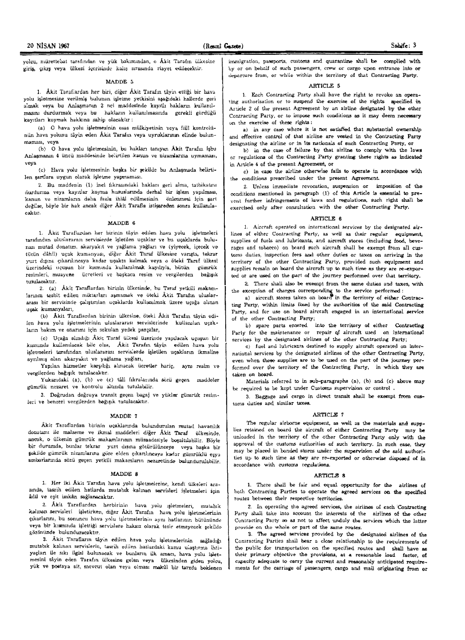yolcu, mürettebat tarafından ve yük bakımından, o Âkit Tarafın ülkesine giriş, çıkış veya ülkesi içerisinde kalış sırasında riayet edilecektir.

# MADDE 5

1. Åkit Taraflardan her biri, diğer Âkit Tarafın tâyin ettiği bir hava yolu işletmesine verilmiş bulunan işletme yetkisini aşağıdaki hallerde geri almak veya bu Anlasmanın 2 nei maddesinde kayıtlı hakların kullanılmasını durdurmak veya bu hakların kullanılmasında gerekli gördüğü kayıtları koymak hakkına sahip olacaktır:

(a) 0 hava yolu işletmesinin esas mülkiyetinin veya fiilî kontrolüniin hava yolunu tâyin eden Âkit Tarafın veya uyruklarının elinde bulun**mamasl, veya** 

(b) O hava yolu işletmesinin, bu hakları tanıyan Âkit Tarafın işbu Anlaşmanın 4 üncü maddesinde belirtilen kanun ve nizamlarına uymaması, vetya

(c) Hava yolu işletmesinin başka bir şekilde bu Anlaşmada belirtilen şartlara uygun olarak işletme yapmaması.

2. Bu maddenin (1) inci fikrasındaki hakları geri alma, tatbikatını durdurma veya kayıtlar koyma hususlarında derhal bir işlem yapılması, kanun ve nizamların daha fazla ihlâl edilmesinin - önlenmesi için **ş**art değilse, böyle bir hak ancak diğer Akit Tarafla istişareden sonra kullanılacaktir.

#### MADDE 6

1. Åkit Taraflardan her birinin tâyin edilen hava yolu işletmeleri tarafından uluslararası servisierde işletilen uçaklar ve bu uçaklarda bulunan mutad donattm, skaryakit ve yağlama yağları ve (yiyecek, içecek ve tütün dâhil) uçak kumanyası, diğer Âkit Taraf ülkesine varışta, tekrar yurt dışına çıkarılıncaya kadar uçakta kalmak veya o öteki Taraf ülkesi üzerindeki uçuşun bir kısmında kullanılmak kaydıyla, bütün gümrük resimleri, muayene ücretleri ve başkaca resim ve vergilerden bağışık tutulacaktir.

2. (a) Akit Taraflardan birinin ülkesinde, bu Taraf yetkili makamlarınca tesbit edilen miktarları aşmamak ve öteki Âkit Tarafın uluslararası bir servisinde çalıştırılan uçaklarda kullanılmak üzere uçağa alınan uçak kumanyaları,

(b) Akit Taraflardan birinin ülkesine, öteki Akit Tarafın tâyin ediien hava yolu işletmelerinin uluslararası servislerinde kullarılan uçakların bakım ve onarımı için sokulan yedek parcalar,

(c) Uçağa alındığı Âkit Taraf ülkesi üzerinde yapılacak uçuşun bir kısmında kullanılacak bile olsa, Akit Tarafın tâyin edilen hava yolu isletmeleri tarafından uluslararası servislerde işletilen uçakların ikmaline aynlmış olan akaryakıt ve yağlama yağları,

Yapılan hizmetler karşılığı alınacak ücretler hariç, aynı resim ve vergilerden bağışık tutulacaktır.

Yukarıdaki (a), (b) ve (c) tâli fıkralarında sözü geçen maddeler gümrük nezaret ve kontrolu altında tutulabilir.

3. Doğrudan doğruya transit geçen bagaj ve yükler gümrük resimleri ve benzeri vergilerden bağışık tutulacaktır.

# MADDE 7

Akit Taraflardan birinin uçaklarında bulundurulan mutad havacılık donatum ile malzeme ve ikmal maddeleri diğer Akit Taraf ülkesinde, ancak, o ülkenin gümrük makamlarının müsaadesiyle boşaltılabilir. Böyle bir durumda, bunlar tekrar yurt dışına götürülünceye veya başka bir şekilde gümrük nizamlarına göre elden çıkarılıncaya kadar gümrüklü eşya ambarlarında sözü geçen yetkili makamların nezaretinde bulundurulabilir.

#### MADDE 8

1. Her iki Akit Tarafın hava yolu işletmelerine, kendi ülkeleri arasında, tasrih edilen hatlarda mutabık kalınan servisleri işletmeleri için âdil ve eşit imkân sağlanscaktır.

2. Akit Taraflardan herbirinin hava yolu işletmeleri, mutablk kalınan servisleri işletirken, diğer Akit Tarafın hava yolu işletmelerinin çıkarlarını, bu sonuncu hava yolu işletmelerinin aynı hatlarının bütününde veya bir kısmında işlettiği servislere haksız olarak tesir etmeyecek şekilde eözönünde bulunduracaktır.

3. Âkit Tarafların tâyin edilen hava yolu işletmelerinin sağladığı mutabik kalinan servislerin, tasrih edilen hatlardaki kamu ulaştırma ihtiyaçları ile sıkı ilgisi bulunacak ve bunların ilk amacı, hava yolu işletmesini tâyin eden Tarafın ülkesine gelen veya ülkesinden giden yolcu, yük ve postaya ait, mevcut olan veya olması makûl bir tarzda beklenen

immigration, passports, customs and quarantine shall be complied with by or on behalf of such passengers, crew or cargo upon entrance into or departure from, or while within the territory of that Contracting Party,

# ARTICLE 5

L Each Contracting Party shall have the right to revoke an operating authorisation or to suspend the exercise of the rights specified in Article 2 of the present Agreement by an airline designated by the other Contracting Party, or to impose such conditions as it may deem necessary on the exercise of these rights:

a) in any case where it is not satisfied that substantial ownership and effective control of that airline are vested in the Contracting Party designating the airline or in 1ts nationals of such Contracting Party, or

b) in the case of failure by that airline to comply with the laws or regulations of the Contracting Party granting these rights as indicated in Article 4 of the present Agreement, or

c) in case the airline otherwise fails to operate in accordance with the conditions prescribed under the present Agreement.

2. Unless immediate revocation, suspension or imposition of the conditions mentioned in paragraph  $(1)$  of this Article is essential to prevent further infringements of laws and regulations, such right shall be exercised only after consultation with the other Contracting Party.

# ARTICLE 6

L Aircraft operated on international *services* by the designated airlines of either Contracting Party, as well as their regular equipment, supplies of fuels and lubricants, and aircraft stores (including food, beverages and tobacco) on board sueh aircraft shall be exempt from all customs duties, inspection fees and other duties or taxes on arriving in the territory of the other Contracting Party, provided such equipment and supplies remain on board the aircraft up to such time as they are re-exported or are used on the part of the journey performed over that territory.

2 There shall also be exempt from the same duties and taxes, with the exception of charges corresponding to the service performed:

a) aircraft stores taken on board in the territory of either Contracting Party, within limits fixed by the authorities of the said Contracting Party, and for use on board aircraft engaged in an international service of the other Contracting Party;

b) spare parts entered into the territory of either Contracting Party for the maintenance or repair of aircraft used on international services by the designated airlines of the other Contracting Party;

c) fuel and lubricants destined to supply aircraft operated on international services by the designated airlines of the other Contracting *Party,*  even when these supplies are to be used on the part of the journey performed over the territory of the Contracting Party, in which they are taken on board.

Materials referred to in sub-paragraphs (a), (b) and (c) above may be required to be kept under Customs supervision or control,

3. Baggage and cargo in direct transit shall be exempt from customs duties and similar taxes.

#### ARTICLE 7

The regular airborne equipment, as well as the materials and supplies retained on board the aircraft of either Contracting Party may be unloaded in the territory of the other Contracting Party only with the approval of the customs authorities of such territory, In such case, they may be placed in bonded stores under the supervision of the said authorities up to such time as they are re-exported or otherwise disposed of in accordance with customs regulations.

#### ARTICLE 8

1. There shall be fair and equal opportunity for the airlines of both Contracting Parties to operate the agreed services on the specified routes between their respective territories.

2. In operating the agreed services, the airlines of each 'Contracting Party shall take into account the interests of the airlines of the other Contracting Party so as not to affect unduly the services which the latter provide on the whole or part of the same roules,

3. The agreed services provided by the designated airlines of the Contracting Parties shall bear a close relationship to the requirements of the public for transportation on the specified routes and shall have as their primary objective the provisions, at a reasonable load factor, of capacity adequate to carry the current and reasonably anticipated requirements for the carriage of passengers, cargo and mail originating from or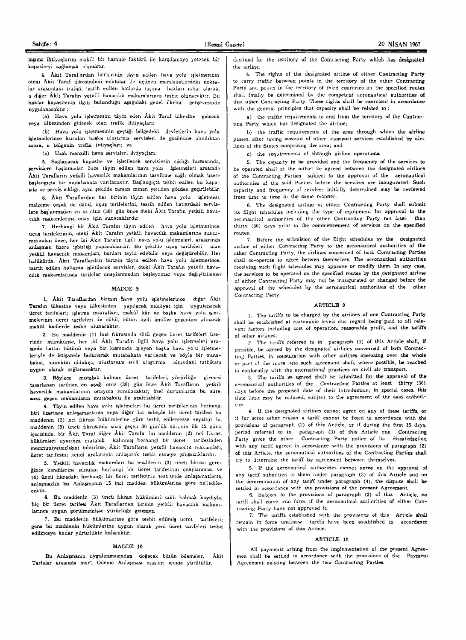4. Akit Taraf.ardan herbirinin tâyin edilen hava yolu işletmesinin öteki Åkit Taraf ülkesindeki noktalar ile üçüncü memleketlerdeki noktalar arasındaki trafiği, tasrih edilen hatlarda taşıma hakları nihai olarak, o diğer Âkit Tarafın yetkili havacılık makamlarınca tesbit olunacakt:r. Bu haklar kapasitenin ilgili bulunduğu aşağıdaki genel ilkeler çerçevesinde uygulanacakllr :

(a) Hava yolu işletmesini tâyin eden Âkit Taraf ülkesine gelecck veya ülkesinden gidecek olan trafik ihtiyaçları;

(b) Hava yolu isletmesinin geçtiği bölgedeki devletlerin hava yolu isletmelerince kurulan başka ulaştırma servisleri de gozönüne alındıktan sonra, o bölgenin trafik ihtiyaçları; ve

(c) Uzak menzilli hava servisleri ihtiyaçları.

5. Sağlanacak kapasite ve işletilecek servisierin sıklığı hususunda, servislere başlamadan önce tâyin edilen hava yolu işletmeleri arasında Âkit Tarafların yetkili havacılık makamlarının tasvibine bağlı olmak üzere başlangıçta bir mutabakata varılacaktır. Başlangıçta tesbit edilen bu kapasite ve servis sıklığı, aynı şekilde zaman zaman yeniden gözden geçirilebilir.

6. Åkit Taraflardan her birinin tâyin edilen hava yolu isletmesi, malzeme çeşidi de dâhil, uçuş tarifelerini, tasrih edilen hatlardaki servislere başlanmadan en az otuz (30) gün önce öteki Âkit Tarafın yetkili havacilik makamlarına onay için sunacaklardır.

7. Herhangi bir Âkit Tarafın tâyin edilen hava yolu işletmesince. uçuş tarifelerinin, öteki Akit Tarafın yetkili havaculk makamlarına sunulmasından önce, her iki Âkit Tarafın iigili hava yolu işletmeleri, aralarında anlaşmak üzere işbirliği yapacaklardır. Bu şekilde uçuş tarifeleri alan yetkili havacılık makamları, bunları teyid edebilir veya değiştirebilir. Her halükârda, Akit Taraflardan birinin tâyin edilen hava yolu işletmesince, tasrih edilen hatlarda işletilecek servisler, öteki Âkit Tarafın yetkili havacilik makamlarınca tarifeler onaylanmadan başlayamaz veya değiştirilemer

#### MADDE 9

1. Akit Taraflardan birinin hava yolu işletmelerince diğer Akit Tarafın ülkesine veya ülkesinden yapılacak nakliyat için uygulanacak üeret tarifeleri; işletme msarafları, makûl kâr ve başka hava yolu işletmelerinin ücret tarifeleri de dâhil, bütün iigili âmiller gözönüne almarak makûl hadlerde tesbit olunacaktır.

2. Bu maddenin (1) inci fıkrasında sözü geçen ücret tarifeleri üzerinde, mümkünse, her iki Âkit Tarafın ilgili hava yolu işletmeleri arasında hattın bütünü veya bir kısmında işleyen başka hava yolu işletmeleriyle de istişarede bulunarak mutabakata varılacak ve böyle bir mutabakat, mümkün oldukça, uluslarasat sivil ulaştırma aimndaki tatbikata uygun olarak sağlanacaktır.

3. Böylece mutabik kalinan ücret tarifeleri, yürürlüğe girmesi tasarlanan tarihten en aşağı otuz (30) gün önce Âkit Tarafların yetkili havacılık makamlarının onayına sunulacaktır; özel durumlarda bu süre, sözü geçen makamların mutabakatı ile azaltuabilir.

4. Täyin edilen hava yolu işletmeleri bu ücret tarifelerinin herhangi biri üzerinde anlaşamazlarsa veya diğer bir sebeple bir ücret tarifesi bu maddenin (2) nci fıkrası hükümlerine göre tesbit edilemezse veyahut bu maddenin (3) üncü fıkrasında sözü geçen 30 günlük sürenin ilk 15 günü icerisinde, bir Akit Taraf diğer Akit Tarafa, bu maddenin (2) nei Likrası hükümleri uyarınca mutabık kalınmış herhangi bir ücret tarifesinden memnuniyetsizliğini bildirirse, Âkit Tarafların yetkili havacılık makamları, ücret tarifesini kendi aralarında anlaşarak tesbit etmeye çalışacaklardır.

5. Yetkili havacılık makamları bu maddenin (3) üncü fıkrası gereğince kendilerine sunulan herhangi bir ücret tarifesinin onaylanması ve (4) üncü fikradaki herhangi bir ücret tarifesinin tesbitinde anlaşamazlarsa, anlaşmazlık bu Anlaşmanın 15 inci maddesi hükümlerine göre halledilecektir.

6. Bu maddenin (3) üncü fıkrası hükümleri saklı kalmak kaydıyla, hiç bir ücret tarifesi Âkit Taraflardan birinin yetkili havacılık makamlarınca uygun görülmemişse yürürlüğe giremez,

7. Bu maddenin hükümlerine göre tesbit edilmiş ücret tarifeleri; gene bu maddenin hükümlerine uygun olarak yeni ücret tarifeleri tesbit. edilinceye kadar yürürlükte kalacaktır.

#### MADDE 10

Bu Anlaşmanın uygulanmasından doğacak bütün ödemeler, Akit Tarfalar arasında mer'i Ödeme Anlaşması esasları içinde yürütülür,

destined for the territory of the Contracting Party which has designated the airline.

4. The rights of the designated airline of either Contracting Party to carry traffic between points in the territory of the other Contracting Party and points in the territory of third countries on the specified routes sha:! finally be determined by the competent aeronautical authorities of that other Contracting Party. These rights shall be exercised in accordance with the general principles that capacity shall be related to:

a) the traffic requirements to and from the territory of the Contracting Party which has designated the airline;

b) the traffic requirements of the area through which the airline passes, after taking account of other transport services established by airlines of the States comprising the area; and

c) the requirements of through airline operations.

5. The capacity to be provided and the frequency of the services to be operated shall at the outset be agreed between the designated airlines of the Contracting Parties subiect to the approval of the aeronautical authorities of the said Parties before the services are inaugurated. Such capacity and frequency of services initially determined may be reviewed from time to time in the same manner.

6. The designated airline of either Contracting Party shall submit its flight schedules including the type of equipment for approval to the aeronautical authorities of the other Contracting Party not later than thirty  $(30)$  days prior to the commencement of services on the specified routes.

7. Before the submision of the flight schedules by the designated atrline of either Contracting Party to the aeronautical authorities of the other Contracting Party, the airlines concerned of both Contracting Parties shall co-operate to agree betwen themselves. The aeronautical authorities receiving such flight schedules may approve or modify them. In any case, the services to be operated on the specified routes by the designated airline of either Contracting Party may not be inaugurated or changed before the approval of the schedules by the aeronautical authorities of the other Contracting Party.

#### ARTICLE 9

1. The tariffs to be charged by the airlines of one Contracting Parly shall be established at reasonable levels due regard being paid to all relevant factors including cost of operation, reasonable profit, and the tariffs of other airlines.

2. The tariffs referred to in paragraph (1) of this Article shall, if possible, be agreed by the designated airlines concerned of both Contracting Parties, in consultation with other airlines operating over the whole or part of the route. and such agreement shall, where possible, be reached in conformity with the international practices on civil air transport,

3. The tariffs so agreed shall be submitted for the approval of the aeronautical authorities of the Contracting Parties at least thirty (30) days before the proposed date of their introduction; in special cases, this time limit may be reduced, subject to the agreement of the said authorit:es.

4. If the designated airlines cannot agree on any of these tariffs, or if for some other reason a tariff cannot be fixed in accordance with the provisions of paragraph (2) of this Article, or if during the first 15 days, period referred to in paragraph (3) of this Article one Contracting Party gives the other Contracting Party notice of its dissatisfaction with any tarif( agreed in accordance with the provisions of paragraph (2) of this Article, the aeronautical authorities of the Contracting Parties shall try to determine the tariff by agreement between themselves.

5. If the aeronautical authorities cannot agree on the approval of any tariff submitted to them under paragraph (3) of this Article and on the determination of any tariff under paragraph (4), the dispute shall be settled in accordance with the provisions of the present Agreement.

S. Subject to the provisions of paragraph (3) of this Article, no tariff shall come into force if the aeronautical authorities of either Contracting Party have not approved it.

7. The tariffs established with the provisions of this Article shall remain in force untilnew tariffs have been established in accordance with the provisions of this Article.

#### ARTICLE 10

All payments arising from the implementation of the present Agreemen shall be settled in accordance with the provisions of the Payment Agreement existing between the two Contracting Parties.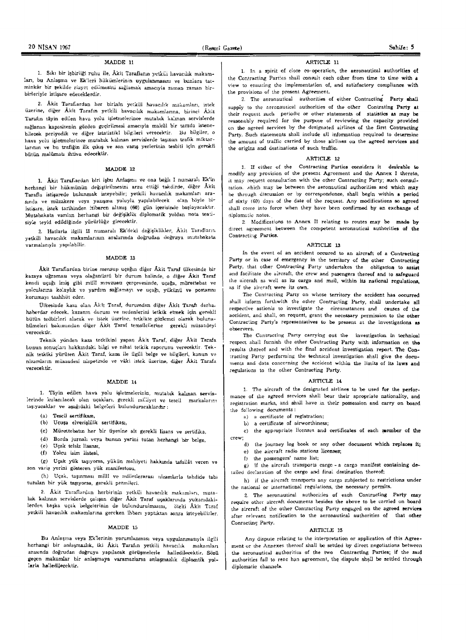# MAnDE 11

1. Sıkı bir işbirliği ruhu ile, Âkit Tarafların yetkili havacılık makamlan, bu Anlaşma ve Ek'leri hükümlerinin uygulanmasını ve bunlara tatminkâr bir şekilde riayet edilmesini sağlamak amacıyla zaman zaman birbirleriyle istişare edeceklerdir.

2. Åkit Tarafiardan her birinin yetkili havacılık makamları, istek üzerine, diğer Âkit Tarafın yetkili havacılık makamlarına, birinci Âkit Tarafın tâyin edilen hava yolu işletmelerince mutabık kalınan servislerde sağlanan kapasitenin gözden geçirilmesi amacıyla makûl bir tarzda istenehilecek periyodik ve diğer istatistiki bilgileri verecektir. Bu bilgiler, o hava yolu işletmelerince mutabik kalınan servislerde taşınan trafik miktarlarının ve bu trafiğin ilk çıkış ve son varış yerlerinin tesbiti için gerekfi bütün malûmatı ihtiva edecektir.

# MADDE 12

1. Akit Taraflardan biri işbu Anlaşma ve ona bağlı I numaralı Ek'in herhangi bir hükmünün değiştirilmesini arzu ettiği takdirde, diğer Akit Tarafla istişarede bulunmak isteyebilir; yetkili havacılık makamları arasında ve müzakere veya yazışma yoluyla yapılabilecek olan böyle bir istisare, istek tarihinden itibaren altmış (60) gün içerisinde başlayacaktır. Mutabakata varılan herhangi bir değişiklik diplomatik yoldan nota teatisiyle teyid edildiginde yiiriirliige girecektir,

2. Hatlarla ilgili II numaralı Ek'deki değişiklikler, Akit Tarafların yetkili havacılık makamlarının aralarında doğrudan doğruya mutabakata varmalarıyla yapılabilir.

#### MADDE 13

Akit Taraflardan birine mensup uçağın diğer Akit Taraf ülkesinde bir kazaya uğraması veya olağanüstü bir durum halinde, o diğer Âkit Taraf kendi uçağı imiş gibi millî mevzusu çerçevesinde, uçağa, mürettebat ve yolcularına kolaylık ve yardım sağlamayı ve uçağı, yükünü ve postasını korumayı taahhüt eder.

Ülkesinde kaza olan Ákit Taraf, durumdan diğer Akit Tarafı derha. haberdar edecek, kazanın durum ve nedenlerini tetkik etmek için gerekli bütün tedbirleri alacak ve istek üzerine, tetkikte gözlemci olarak bulunabilmeleri bakımından diğer Âkit Taraf temsilcilerine gerekli müsaadeyi verecektlr,

Teknik yönden kaza tetkikini yapan Âkit Taraf, diğer Âkit Tarafa Lunun sonuçları hakkındaki bilgi ve nihai tetkik raporunu verecektir. Teknik tetkiki yürüten Âkit Taraf, kaza ile ilgili belge ve bilgileri, kanun ve nizamların müsaadesi nispetinde ve vâki istek üzerine, diğer Akit Tarafa verecektir.

### MADDE 14

1. Tâyin edilen hava yolu işletmelerinin, mutabik kalınan servislerinde kulanılacak olan uçakları, gerekli milliyet ve tescil markalarını taşıyacaklar ve aşağıdaki belgeleri bulunduracaklardır:

- (a) Tescil sertifikası,
- (b) Uçuşa elverişlilik sertifikası,
- (c) Mürettebatın her bir üyesine ait gerekli lisans ve sertifika,
- (d) Borda jurnah veya bunun yerini tutan herhangi hir belge,
- (e) Uçak telsiz lisansı,
- (f) Yoleu isim listesi,

(g) Uçak yük taşıyorsa, yükün mahiyeti hakkında tafsilât veren ve son varis yerini gösteren yük manifestosu,

(h) Uçak, taşınması millî ve milletlerarası nizamlarla tahdide tabi tutulan bir yük taşıyorsa, gerekli permileri.

2. Akit Taraflardan herbirinin yetkili havacılık makamları, mutablk kalman servislerde çalışan diğer Akit Taraf uçaklarında yukarıdakilerden başka uçak belgelerinin de bulundurulmasını, öteki Âkit Taraf yetkili havacılık makamlarına gereken ihbarı yaptıktan sonra isteyebilirler,

#### MADDE 15

Bu Anlaşma veya Ek'lerinin yorumlanması veya uygulanmasıyla ilgili herhangi bir anlaşmazlık, iki Akit Tarafın yetkili havacılık makamları arasında doğrudan doğruya yapılacak görüşmelerle halledilecektir. Sözü geçen makamlar bir anlaşmaya varamazlarsa anlaşmazlık diplomtik yollarla halledilecektir.

### ARTICLE 11

1. In a spirit of close co-operation, the aeronautical authorities of the Contracting Parties shall consult each other from time to time with a view to ensuring the implementation of, and satisfactory compliance with the provisions of the present Agreement.

2. The aeronautical authorities of either Contracting Party shall supply to the aeronautical authorities of the other Contrating Party at their request such periodic or other statements of statistics as may be reasonably required for the purpose of reviewing the capacity provided on the agreed services by the designated airlines of the first Contracting Party. Such statements shall include all information required to determine the amount of traffic carried by those airlines on the agreed services and the origins and destinations of such traffic.

# ARTICLE 12

1. If either of the Contracting Parties considers it desirable to modify any provision of the present Agreement and the Annex I thereto, it may request consultation with the other Contracting Party; such consultation, which may be between the aeronautical authorities and which may be through discussion or by correspondence, shall begin within a period of sixty  $(60)$  days of the date of the request. Any modifications so agreed shall come into force when they have been confirmed by an exchange of diplomatic notes.

2 Modifications to Annex II relating to routes may be made by direct agreement between the competent aeronautical authorities of the Contracting Parties.

#### ARTICLE 13

In the event of an accident occured to an aircraft of a Contracting Party or in case of emergency in the territory of the other Contracting Party, thai other Contracting Party undertakes the obligation to assist and facilitate the aircraft, the crew and pasengers thereof and to safeguard the aircraft a. well as its cargo and mail, within *its* national regulations, as if the aircraft were its own.

The Contracting Party on whose territory the accident has occurred shall inform forthwith the other Contracting Party, shall undertake all respective astionis to investigate the circumstances and causes of the accident. and shall, on request, grant the necessary permission to the other Contracting Party's representatives to be present at the investigations as observers.

The Contracting Party carrying out the investigation in technical respect shall furnish the other Contracting Party with information on the results thereof and with the final accident investigation report. The Contracting Party performing the technical investigation shall give the documents and data concerning the accident within the limits of its laws and regulations to the other Contracting Party.

#### ARTICLE 14.

1. The aircraft of the designated airlines to be used for the performance of the agreed services shall bear their apropriate nationality, and registration marks, and shall have in their possession and carry on board the following documents:

- a) a certificate of registration;
- b) a certificate of airworthiness;

c) the appropriate licenses and certificates of each member of the crew;

d) Ihe journey log book or any other document which replaces it; e) ihe aircraft radio stations licenses;

f) the passengers' name list;

 $g$ ) if the aircraft transports cargo - a cargo manifest containing detailed declaration of the cargo and final destination thereof;

h) if the aircraft transports any cargo subjected to restrictions under the national or international regulations. the necessary permits,

2. The aeronautical authorities of each Contracting Party may require other aircraft documents besides the above to be carried on board the aircraft of the other Contracting Party engaged on the agreed services after relevant notification to the aeronautical authorities of that other Conracting Party.

#### ARTICLE 15

Any dispuie relating to the interpretation or application of this Agreement or the Annexes thereof shall be settled by direct negotiations between the aeronautical authorities of the two Contracting Parties; if the said authorities fail to reac han agreement, the dispute shall be settled through diplomatic channels.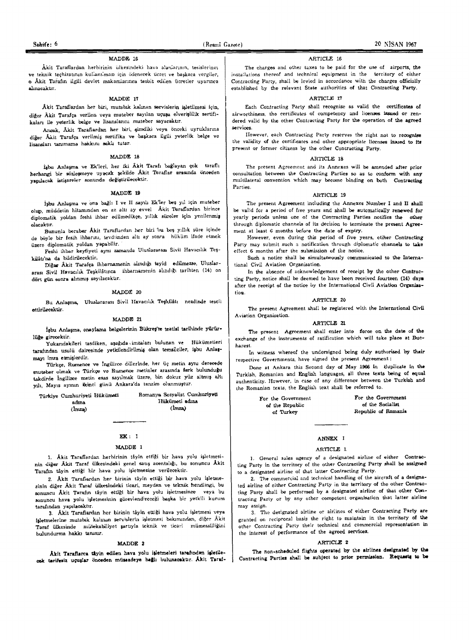# MADDE<sub>16</sub>

.A.kit Taraflardan herbirinin iilkeslndeki hava alan;annm. tesislorimn ve teknik teçhizatının kullanılması için ödenecek ücret ve başkaca vergiler, o Åkit Tarafın ilgili devlet makamlarınca tesbit edilen ücretler uyarınca almacaktır.

#### MADDE 17

Akit Taraflardan her biri, mutabık kalınan servislerin işletilmesi için, diğer Âkit Tarafça verilen yeya muteber sayılan uçuşa elverişlilik sertifikaları ile yeterlik belge ve lisanslarını muteber sayacaktır.

Ancak, Akit Taraflardan her biri, şimdiki veya önceki uyruklarına diğer Akit Tarafça verilmiş sertifika ve başkaca ilgili yeterlik belge ve lisansları tanımama hakkını saklı tutar.

#### MADDE 18

İşbu Anlaşma ve Ek'leri, her iki Âkit Tarafı bağlayan çok taraflı herhangi bir sözleşmeye uyacak şekilde Âkit Taraflar arasında önceden yapılacak istişareler sonunda değiştirilecektir.

### MADDE 19

İşbu Anlaşma ve ona bağlı I ve II sayılı Ek'ler beş yıl için muteber olup, müddetin hitamından en az altı ay evvel Akit Taraflardan birince diplomatik yoldan feshi ihbar edilmedikçe, yıllık süreler için yenilenmiş olacaktır.

Bununla beraber Åkit Taraflardan her biri 'bu beş yıllık süre içinde de böyle bir fesih ihbarını, tevdiinden altı ay sonra hüküm ifade etmek ilzere diplomatik yoldan yapsbilir.

Feshi ihbar keyfiyeti aynı zamanda Uluslararası Sivil Havacılık Teşkilâtı'na da bildirilecektir.

Diğar Âkit Tarafça ihbarnamenin alındığı teyid edilmezse, Uluslararası Sivil Havacılık Teşkilâtınca ihbarnamenin alındığı tarihten (14) on dört gün sonra alınmış sayılacaktır.

#### MADDE 20

Bu Anlasma, Uluslararası Sivil Havacılık Teşkilâtı nezdinde tescil ettirilecektir.

#### MADDE 21

İşbu Anlaşma, onaylama belgelerinin Bükreş'te teatisi tarihinde yürürlüğe girecektir.

Yukarıdakileri tasdiken, aşağıda imzaları bulunan ve Hükümetleri tarafından usulü dairesinde yetkilendirilmiş olan temsilciler, işbu Anlaşmayı imza etmişlerdir.

Türkçe, Rumence ve İngilizce dillerinde, her üç metin ayru derecede muteber olmak ve Türkçe ve Rumence metinler arasında fark bulunduğu takdirde Ingilizce metin esas sayılmak üzere, bin dokuz yüz altmış altı yılı, Mayıs ayının ikinci günü Ankara'da tanzim olunmuştur.

Türkiye Cumhuriyeti Hükümeti Romanya Sosyalist Cumhuriyeti adma Hükümeti adına (İmza)  $(\text{Im}z_4)$   $(\text{Im}z_4)$ 

#### EK: 1

#### MADDE 1

1. Akit Taraflardan herbirinin tâyin ettiği bir hava yolu işletmesinin diğer Âkit Taraf ülkesindeki genel satış acentalığı, bu sonuncu Âkit Tarafın tâyin ettiği bir hava yolu işletmesine verilecektir.

2. Åkit Taraflardan her birinin tâyin ettiği bir hava yolu işletmesinin diğer Âkit Taraf ülkesindeki ticari, meydan ve teknik hendlingi, bu sonuncu Akit Tarafın tâyin ettiği bir hava yolu işletmesince veya bu sonuncu hava yolu işletmesinin görevlendireceği başka bir yetkili kurum tarafından yapılacaktır.

3. Akit Taraflardan her birinin tâyin ettiği hava yolu işletmesi veya Isletmelerine mutabik kalman servislerin işletmesi bakımından, diğer Âkit Taraf ülkesinde mütekabiliyet şartıyla teknik ve ticari mümessilliğini bulundurma hakkı tanınır.

#### MAnDE 2

Äkit Taraflarca tâyin edilen hava yolu işletmeleri tarafından işletilecek tarifesiz uçuşlar önceden müsaadeye bağlı bulunacaktır. Akit Taraf-

#### ARTICLE 16

The charges and other taxes to be paid for the use of airports, the installations thereof and technical equipment in the territory of either Contracting Party, shall be levied in accordance with the charges officially established by the relevant State authorities of that Contracting Party.

#### ARTICLE 17

Each Contracting Party shall recognise as valid the certificates of airworthiness, the certificates of competency and licenses issued or rendered valid by the other Contracting Party for the operation of the agreed services.

IIowever, each Contracting Party reserves the right not to recognise the validity of the certificates and other appropriate licenses issued to its present or former citizens by the other Contracting Party.

#### ARTICLE 18

The present Agreement and its Annexes will be amended after prior consultation between the Contracting Parties so as to conform with any multilateral convention which may become binding on both Contracting Parties.

#### ARTICLE 19

The present Agreement including the Annexes Number I and II shall be valid for a period of five years and shall be automatically renewed for yearly periods unless one of the Contracting Parties notifies the other through diplomatic channels of its decision to terminate the present Agree ment at least 6 months before the date of expiry.

However, even during this period of five years, etiher Contracting Party may submit such a notification through diplomatic channels to take effect 6 months after the submission of the notice.

Such a notice shall be simultaneously communicated to the International Civil Aviation Organisation.

In the absence of acknowledgement of receipt by the other Contracting Party, notice shall be deemed to have been received fourteen (14) days after the receipt of the notice by the International Civil Aviation Organiaation.

#### .ARTICLE 20

The present Agreement shall be registered with the International Civil Aviation Organisation.

#### ARTICLE 21

The present Agreement shall enter into force on the date of the exchange of the instruments of ratification which will take place at Bucharest.

In witness whereof the undersigned being duly authorised by their respective Governments, have signed the present Agreement:

Done at Ankara this Second day of May 1966 in Huplicate in the Turklsh. Romanian and English languages, all three texts being of equal authenticity. However, in case of any difference between the Turkish and the Romanian texts, the English text shall 'be referred to.

of the Republic

For the Government<br>
For the Government<br>
of the Socialist<br>
of the Socialist of Turkey Republic of Romania

### ANNEX I

#### ARTICLE 1

1. General sales agency of a designated airline of either Contracting Party in the territory of the other Contracting Party shall be assigned to a designated airline of that lalter Contracting Party.

2. The commercial and technical handling of the aircraft of a designated airline of either Contracting Party in the territory of the other Contracting Party shall be performed by a designated airline of that other Contracting Party or by any other competent organisation that latter airline may assign.

3. The designated airline or airlines of either Contracting Party are granted on reciprocal basis the right to maintain in Ihe territory of the other Contracting Party their teclmical and commercial representation in the interest of performance of the agreed services.

#### ARTICLE 2

The non-scheduled flights operated by the airlines designated by the Contracting Partles shall be subject to prior permission. Requests to be